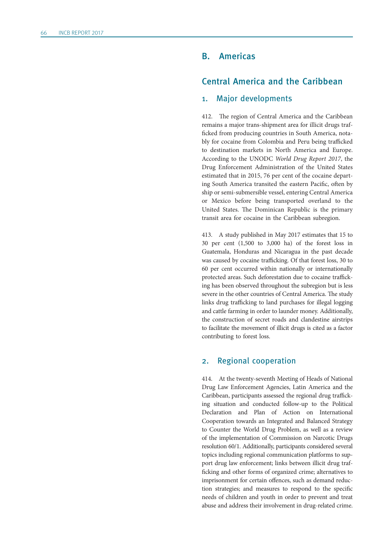# B. Americas

# Central America and the Caribbean

### 1. Major developments

412. The region of Central America and the Caribbean remains a major trans-shipment area for illicit drugs trafficked from producing countries in South America, notably for cocaine from Colombia and Peru being trafficked to destination markets in North America and Europe. According to the UNODC *World Drug Report 2017*, the Drug Enforcement Administration of the United States estimated that in 2015, 76 per cent of the cocaine departing South America transited the eastern Pacific, often by ship or semi-submersible vessel, entering Central America or Mexico before being transported overland to the United States. The Dominican Republic is the primary transit area for cocaine in the Caribbean subregion.

413. A study published in May 2017 estimates that 15 to 30 per cent (1,500 to 3,000 ha) of the forest loss in Guatemala, Honduras and Nicaragua in the past decade was caused by cocaine trafficking. Of that forest loss, 30 to 60 per cent occurred within nationally or internationally protected areas. Such deforestation due to cocaine trafficking has been observed throughout the subregion but is less severe in the other countries of Central America. The study links drug trafficking to land purchases for illegal logging and cattle farming in order to launder money. Additionally, the construction of secret roads and clandestine airstrips to facilitate the movement of illicit drugs is cited as a factor contributing to forest loss.

#### 2. Regional cooperation

414. At the twenty-seventh Meeting of Heads of National Drug Law Enforcement Agencies, Latin America and the Caribbean, participants assessed the regional drug trafficking situation and conducted follow-up to the Political Declaration and Plan of Action on International Cooperation towards an Integrated and Balanced Strategy to Counter the World Drug Problem, as well as a review of the implementation of Commission on Narcotic Drugs resolution 60/1. Additionally, participants considered several topics including regional communication platforms to support drug law enforcement; links between illicit drug trafficking and other forms of organized crime; alternatives to imprisonment for certain offences, such as demand reduction strategies; and measures to respond to the specific needs of children and youth in order to prevent and treat abuse and address their involvement in drug-related crime.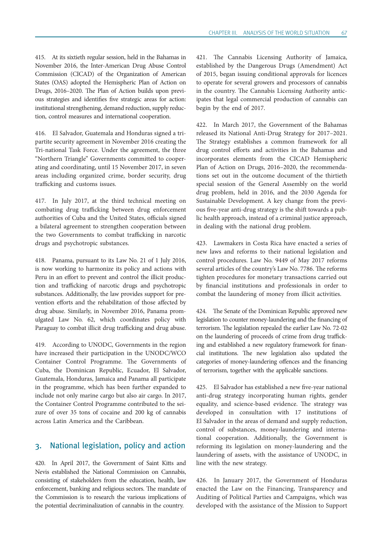415. At its sixtieth regular session, held in the Bahamas in November 2016, the Inter-American Drug Abuse Control Commission (CICAD) of the Organization of American States (OAS) adopted the Hemispheric Plan of Action on Drugs, 2016–2020. The Plan of Action builds upon previous strategies and identifies five strategic areas for action: institutional strengthening, demand reduction, supply reduction, control measures and international cooperation.

416. El Salvador, Guatemala and Honduras signed a tripartite security agreement in November 2016 creating the Tri-national Task Force. Under the agreement, the three "Northern Triangle" Governments committed to cooperating and coordinating, until 15 November 2017, in seven areas including organized crime, border security, drug trafficking and customs issues.

417. In July 2017, at the third technical meeting on combating drug trafficking between drug enforcement authorities of Cuba and the United States, officials signed a bilateral agreement to strengthen cooperation between the two Governments to combat trafficking in narcotic drugs and psychotropic substances.

418. Panama, pursuant to its Law No. 21 of 1 July 2016, is now working to harmonize its policy and actions with Peru in an effort to prevent and control the illicit production and trafficking of narcotic drugs and psychotropic substances. Additionally, the law provides support for prevention efforts and the rehabilitation of those affected by drug abuse. Similarly, in November 2016, Panama promulgated Law No. 62, which coordinates policy with Paraguay to combat illicit drug trafficking and drug abuse.

419. According to UNODC, Governments in the region have increased their participation in the UNODC/WCO Container Control Programme. The Governments of Cuba, the Dominican Republic, Ecuador, El Salvador, Guatemala, Honduras, Jamaica and Panama all participate in the programme, which has been further expanded to include not only marine cargo but also air cargo. In 2017, the Container Control Programme contributed to the seizure of over 35 tons of cocaine and 200 kg of cannabis across Latin America and the Caribbean.

## 3. National legislation, policy and action

420. In April 2017, the Government of Saint Kitts and Nevis established the National Commission on Cannabis, consisting of stakeholders from the education, health, law enforcement, banking and religious sectors. The mandate of the Commission is to research the various implications of the potential decriminalization of cannabis in the country.

421. The Cannabis Licensing Authority of Jamaica, established by the Dangerous Drugs (Amendment) Act of 2015, began issuing conditional approvals for licences to operate for several growers and processors of cannabis in the country. The Cannabis Licensing Authority anticipates that legal commercial production of cannabis can begin by the end of 2017.

422. In March 2017, the Government of the Bahamas released its National Anti-Drug Strategy for 2017–2021. The Strategy establishes a common framework for all drug control efforts and activities in the Bahamas and incorporates elements from the CICAD Hemispheric Plan of Action on Drugs, 2016–2020, the recommendations set out in the outcome document of the thirtieth special session of the General Assembly on the world drug problem, held in 2016, and the 2030 Agenda for Sustainable Development. A key change from the previous five-year anti-drug strategy is the shift towards a public health approach, instead of a criminal justice approach, in dealing with the national drug problem.

423. Lawmakers in Costa Rica have enacted a series of new laws and reforms to their national legislation and control procedures. Law No. 9449 of May 2017 reforms several articles of the country's Law No. 7786. The reforms tighten procedures for monetary transactions carried out by financial institutions and professionals in order to combat the laundering of money from illicit activities.

424. The Senate of the Dominican Republic approved new legislation to counter money-laundering and the financing of terrorism. The legislation repealed the earlier Law No. 72-02 on the laundering of proceeds of crime from drug trafficking and established a new regulatory framework for financial institutions. The new legislation also updated the categories of money-laundering offences and the financing of terrorism, together with the applicable sanctions.

425. El Salvador has established a new five-year national anti-drug strategy incorporating human rights, gender equality, and science-based evidence. The strategy was developed in consultation with 17 institutions of El Salvador in the areas of demand and supply reduction, control of substances, money-laundering and international cooperation. Additionally, the Government is reforming its legislation on money-laundering and the laundering of assets, with the assistance of UNODC, in line with the new strategy.

426. In January 2017, the Government of Honduras enacted the Law on the Financing, Transparency and Auditing of Political Parties and Campaigns, which was developed with the assistance of the Mission to Support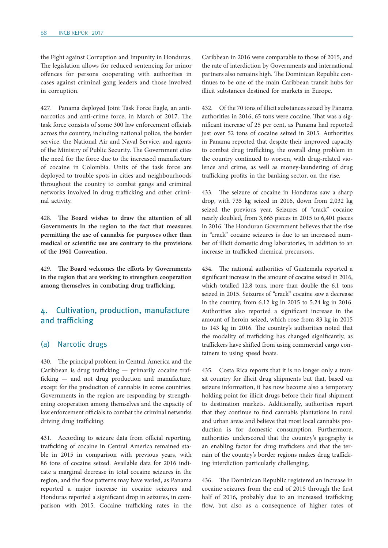the Fight against Corruption and Impunity in Honduras. The legislation allows for reduced sentencing for minor offences for persons cooperating with authorities in cases against criminal gang leaders and those involved in corruption.

427. Panama deployed Joint Task Force Eagle, an antinarcotics and anti-crime force, in March of 2017. The task force consists of some 300 law enforcement officials across the country, including national police, the border service, the National Air and Naval Service, and agents of the Ministry of Public Security. The Government cites the need for the force due to the increased manufacture of cocaine in Colombia. Units of the task force are deployed to trouble spots in cities and neighbourhoods throughout the country to combat gangs and criminal networks involved in drug trafficking and other criminal activity.

428. **The Board wishes to draw the attention of all Governments in the region to the fact that measures permitting the use of cannabis for purposes other than medical or scientific use are contrary to the provisions of the 1961 Convention.**

429. **The Board welcomes the efforts by Governments in the region that are working to strengthen cooperation among themselves in combating drug trafficking.**

# 4. Cultivation, production, manufacture and trafficking

### (a) Narcotic drugs

430. The principal problem in Central America and the Caribbean is drug trafficking — primarily cocaine trafficking — and not drug production and manufacture, except for the production of cannabis in some countries. Governments in the region are responding by strengthening cooperation among themselves and the capacity of law enforcement officials to combat the criminal networks driving drug trafficking.

431. According to seizure data from official reporting, trafficking of cocaine in Central America remained stable in 2015 in comparison with previous years, with 86 tons of cocaine seized. Available data for 2016 indicate a marginal decrease in total cocaine seizures in the region, and the flow patterns may have varied, as Panama reported a major increase in cocaine seizures and Honduras reported a significant drop in seizures, in comparison with 2015. Cocaine trafficking rates in the

Caribbean in 2016 were comparable to those of 2015, and the rate of interdiction by Governments and international partners also remains high. The Dominican Republic continues to be one of the main Caribbean transit hubs for illicit substances destined for markets in Europe.

432. Of the 70 tons of illicit substances seized by Panama authorities in 2016, 65 tons were cocaine. That was a significant increase of 25 per cent, as Panama had reported just over 52 tons of cocaine seized in 2015. Authorities in Panama reported that despite their improved capacity to combat drug trafficking, the overall drug problem in the country continued to worsen, with drug-related violence and crime, as well as money-laundering of drug trafficking profits in the banking sector, on the rise.

433. The seizure of cocaine in Honduras saw a sharp drop, with 735 kg seized in 2016, down from 2,032 kg seized the previous year. Seizures of "crack" cocaine nearly doubled, from 3,665 pieces in 2015 to 6,401 pieces in 2016. The Honduran Government believes that the rise in "crack" cocaine seizures is due to an increased number of illicit domestic drug laboratories, in addition to an increase in trafficked chemical precursors.

434. The national authorities of Guatemala reported a significant increase in the amount of cocaine seized in 2016, which totalled 12.8 tons, more than double the 6.1 tons seized in 2015. Seizures of "crack" cocaine saw a decrease in the country, from 6.12 kg in 2015 to 5.24 kg in 2016. Authorities also reported a significant increase in the amount of heroin seized, which rose from 83 kg in 2015 to 143 kg in 2016. The country's authorities noted that the modality of trafficking has changed significantly, as traffickers have shifted from using commercial cargo containers to using speed boats.

435. Costa Rica reports that it is no longer only a transit country for illicit drug shipments but that, based on seizure information, it has now become also a temporary holding point for illicit drugs before their final shipment to destination markets. Additionally, authorities report that they continue to find cannabis plantations in rural and urban areas and believe that most local cannabis production is for domestic consumption. Furthermore, authorities underscored that the country's geography is an enabling factor for drug traffickers and that the terrain of the country's border regions makes drug trafficking interdiction particularly challenging.

436. The Dominican Republic registered an increase in cocaine seizures from the end of 2015 through the first half of 2016, probably due to an increased trafficking flow, but also as a consequence of higher rates of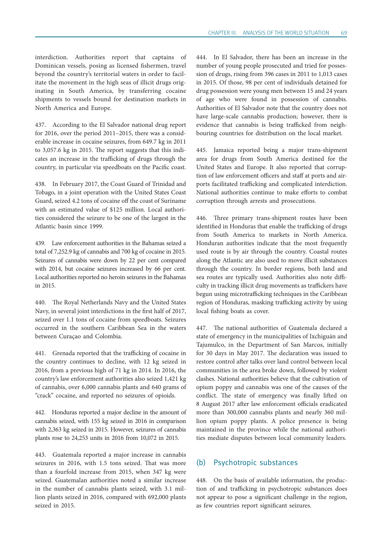interdiction. Authorities report that captains of Dominican vessels, posing as licensed fishermen, travel beyond the country's territorial waters in order to facilitate the movement in the high seas of illicit drugs originating in South America, by transferring cocaine shipments to vessels bound for destination markets in North America and Europe.

437. According to the El Salvador national drug report for 2016, over the period 2011–2015, there was a considerable increase in cocaine seizures, from 649.7 kg in 2011 to 3,057.6 kg in 2015. The report suggests that this indicates an increase in the trafficking of drugs through the country, in particular via speedboats on the Pacific coast.

438. In February 2017, the Coast Guard of Trinidad and Tobago, in a joint operation with the United States Coast Guard, seized 4.2 tons of cocaine off the coast of Suriname with an estimated value of \$125 million. Local authorities considered the seizure to be one of the largest in the Atlantic basin since 1999.

439. Law enforcement authorities in the Bahamas seized a total of 7,252.9 kg of cannabis and 700 kg of cocaine in 2015. Seizures of cannabis were down by 22 per cent compared with 2014, but cocaine seizures increased by 66 per cent. Local authorities reported no heroin seizures in the Bahamas in 2015.

440. The Royal Netherlands Navy and the United States Navy, in several joint interdictions in the first half of 2017, seized over 1.1 tons of cocaine from speedboats. Seizures occurred in the southern Caribbean Sea in the waters between Curaçao and Colombia.

441. Grenada reported that the trafficking of cocaine in the country continues to decline, with 12 kg seized in 2016, from a previous high of 71 kg in 2014. In 2016, the country's law enforcement authorities also seized 1,421 kg of cannabis, over 6,000 cannabis plants and 640 grams of "crack" cocaine, and reported no seizures of opioids.

442. Honduras reported a major decline in the amount of cannabis seized, with 155 kg seized in 2016 in comparison with 2,363 kg seized in 2015. However, seizures of cannabis plants rose to 24,253 units in 2016 from 10,072 in 2015.

443. Guatemala reported a major increase in cannabis seizures in 2016, with 1.5 tons seized. That was more than a fourfold increase from 2015, when 347 kg were seized. Guatemalan authorities noted a similar increase in the number of cannabis plants seized, with 3.1 million plants seized in 2016, compared with 692,000 plants seized in 2015.

444. In El Salvador, there has been an increase in the number of young people prosecuted and tried for possession of drugs, rising from 396 cases in 2011 to 1,013 cases in 2015. Of those, 98 per cent of individuals detained for drug possession were young men between 15 and 24 years of age who were found in possession of cannabis. Authorities of El Salvador note that the country does not have large-scale cannabis production; however, there is evidence that cannabis is being trafficked from neighbouring countries for distribution on the local market.

445. Jamaica reported being a major trans-shipment area for drugs from South America destined for the United States and Europe. It also reported that corruption of law enforcement officers and staff at ports and airports facilitated trafficking and complicated interdiction. National authorities continue to make efforts to combat corruption through arrests and prosecutions.

446. Three primary trans-shipment routes have been identified in Honduras that enable the trafficking of drugs from South America to markets in North America. Honduran authorities indicate that the most frequently used route is by air through the country. Coastal routes along the Atlantic are also used to move illicit substances through the country. In border regions, both land and sea routes are typically used. Authorities also note difficulty in tracking illicit drug movements as traffickers have begun using microtrafficking techniques in the Caribbean region of Honduras, masking trafficking activity by using local fishing boats as cover.

447. The national authorities of Guatemala declared a state of emergency in the municipalities of Ixchiguán and Tajumulco, in the Department of San Marcos, initially for 30 days in May 2017. The declaration was issued to restore control after talks over land control between local communities in the area broke down, followed by violent clashes. National authorities believe that the cultivation of opium poppy and cannabis was one of the causes of the conflict. The state of emergency was finally lifted on 8 August 2017 after law enforcement officials eradicated more than 300,000 cannabis plants and nearly 360 million opium poppy plants. A police presence is being maintained in the province while the national authorities mediate disputes between local community leaders.

## (b) Psychotropic substances

448. On the basis of available information, the production of and trafficking in psychotropic substances does not appear to pose a significant challenge in the region, as few countries report significant seizures.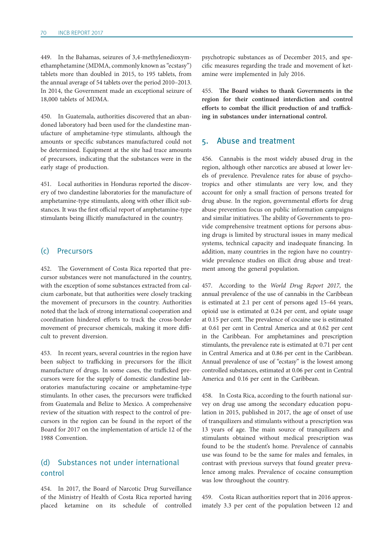449. In the Bahamas, seizures of 3,4-methylenedioxymethamphetamine (MDMA, commonly known as "ecstasy") tablets more than doubled in 2015, to 195 tablets, from the annual average of 54 tablets over the period 2010–2013. In 2014, the Government made an exceptional seizure of 18,000 tablets of MDMA.

450. In Guatemala, authorities discovered that an abandoned laboratory had been used for the clandestine manufacture of amphetamine-type stimulants, although the amounts or specific substances manufactured could not be determined. Equipment at the site had trace amounts of precursors, indicating that the substances were in the early stage of production.

451. Local authorities in Honduras reported the discovery of two clandestine laboratories for the manufacture of amphetamine-type stimulants, along with other illicit substances. It was the first official report of amphetamine-type stimulants being illicitly manufactured in the country.

#### (c) Precursors

452. The Government of Costa Rica reported that precursor substances were not manufactured in the country, with the exception of some substances extracted from calcium carbonate, but that authorities were closely tracking the movement of precursors in the country. Authorities noted that the lack of strong international cooperation and coordination hindered efforts to track the cross-border movement of precursor chemicals, making it more difficult to prevent diversion.

453. In recent years, several countries in the region have been subject to trafficking in precursors for the illicit manufacture of drugs. In some cases, the trafficked precursors were for the supply of domestic clandestine laboratories manufacturing cocaine or amphetamine-type stimulants. In other cases, the precursors were trafficked from Guatemala and Belize to Mexico. A comprehensive review of the situation with respect to the control of precursors in the region can be found in the report of the Board for 2017 on the implementation of article 12 of the 1988 Convention.

# (d) Substances not under international control

454. In 2017, the Board of Narcotic Drug Surveillance of the Ministry of Health of Costa Rica reported having placed ketamine on its schedule of controlled

psychotropic substances as of December 2015, and specific measures regarding the trade and movement of ketamine were implemented in July 2016.

455. **The Board wishes to thank Governments in the region for their continued interdiction and control efforts to combat the illicit production of and trafficking in substances under international control.**

## 5. Abuse and treatment

Cannabis is the most widely abused drug in the region, although other narcotics are abused at lower levels of prevalence. Prevalence rates for abuse of psychotropics and other stimulants are very low, and they account for only a small fraction of persons treated for drug abuse. In the region, governmental efforts for drug abuse prevention focus on public information campaigns and similar initiatives. The ability of Governments to provide comprehensive treatment options for persons abusing drugs is limited by structural issues in many medical systems, technical capacity and inadequate financing. In addition, many countries in the region have no countrywide prevalence studies on illicit drug abuse and treatment among the general population.

457. According to the *World Drug Report 2017*, the annual prevalence of the use of cannabis in the Caribbean is estimated at 2.1 per cent of persons aged 15–64 years, opioid use is estimated at 0.24 per cent, and opiate usage at 0.15 per cent. The prevalence of cocaine use is estimated at 0.61 per cent in Central America and at 0.62 per cent in the Caribbean. For amphetamines and prescription stimulants, the prevalence rate is estimated at 0.71 per cent in Central America and at 0.86 per cent in the Caribbean. Annual prevalence of use of "ecstasy" is the lowest among controlled substances, estimated at 0.06 per cent in Central America and 0.16 per cent in the Caribbean.

458. In Costa Rica, according to the fourth national survey on drug use among the secondary education population in 2015, published in 2017, the age of onset of use of tranquilizers and stimulants without a prescription was 13 years of age. The main source of tranquilizers and stimulants obtained without medical prescription was found to be the student's home. Prevalence of cannabis use was found to be the same for males and females, in contrast with previous surveys that found greater prevalence among males. Prevalence of cocaine consumption was low throughout the country.

459. Costa Rican authorities report that in 2016 approximately 3.3 per cent of the population between 12 and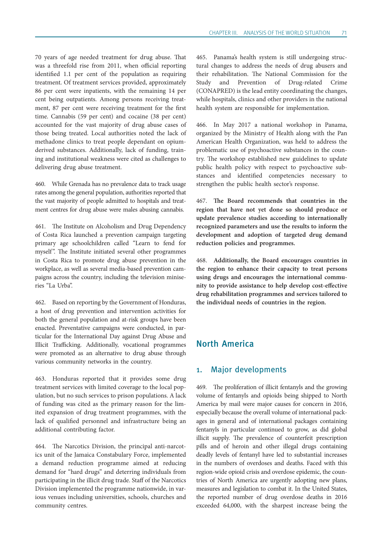70 years of age needed treatment for drug abuse. That was a threefold rise from 2011, when official reporting identified 1.1 per cent of the population as requiring treatment. Of treatment services provided, approximately 86 per cent were inpatients, with the remaining 14 per cent being outpatients. Among persons receiving treatment, 87 per cent were receiving treatment for the first time. Cannabis (59 per cent) and cocaine (38 per cent) accounted for the vast majority of drug abuse cases of those being treated. Local authorities noted the lack of methadone clinics to treat people dependant on opiumderived substances. Additionally, lack of funding, training and institutional weakness were cited as challenges to delivering drug abuse treatment.

460. While Grenada has no prevalence data to track usage rates among the general population, authorities reported that the vast majority of people admitted to hospitals and treatment centres for drug abuse were males abusing cannabis.

461. The Institute on Alcoholism and Drug Dependency of Costa Rica launched a prevention campaign targeting primary age schoolchildren called "Learn to fend for myself". The Institute initiated several other programmes in Costa Rica to promote drug abuse prevention in the workplace, as well as several media-based prevention campaigns across the country, including the television miniseries "La Urba".

462. Based on reporting by the Government of Honduras, a host of drug prevention and intervention activities for both the general population and at-risk groups have been enacted. Preventative campaigns were conducted, in particular for the International Day against Drug Abuse and Illicit Trafficking. Additionally, vocational programmes were promoted as an alternative to drug abuse through various community networks in the country.

463. Honduras reported that it provides some drug treatment services with limited coverage to the local population, but no such services to prison populations. A lack of funding was cited as the primary reason for the limited expansion of drug treatment programmes, with the lack of qualified personnel and infrastructure being an additional contributing factor.

464. The Narcotics Division, the principal anti-narcotics unit of the Jamaica Constabulary Force, implemented a demand reduction programme aimed at reducing demand for "hard drugs" and deterring individuals from participating in the illicit drug trade. Staff of the Narcotics Division implemented the programme nationwide, in various venues including universities, schools, churches and community centres.

465. Panama's health system is still undergoing structural changes to address the needs of drug abusers and their rehabilitation. The National Commission for the Study and Prevention of Drug-related Crime (CONAPRED) is the lead entity coordinating the changes, while hospitals, clinics and other providers in the national health system are responsible for implementation.

466. In May 2017 a national workshop in Panama, organized by the Ministry of Health along with the Pan American Health Organization, was held to address the problematic use of psychoactive substances in the country. The workshop established new guidelines to update public health policy with respect to psychoactive substances and identified competencies necessary to strengthen the public health sector's response.

467. **The Board recommends that countries in the region that have not yet done so should produce or update prevalence studies according to internationally recognized parameters and use the results to inform the development and adoption of targeted drug demand reduction policies and programmes.**

468. **Additionally, the Board encourages countries in the region to enhance their capacity to treat persons using drugs and encourages the international community to provide assistance to help develop cost-effective drug rehabilitation programmes and services tailored to the individual needs of countries in the region.**

## North America

# 1. Major developments

469. The proliferation of illicit fentanyls and the growing volume of fentanyls and opioids being shipped to North America by mail were major causes for concern in 2016, especially because the overall volume of international packages in general and of international packages containing fentanyls in particular continued to grow, as did global illicit supply. The prevalence of counterfeit prescription pills and of heroin and other illegal drugs containing deadly levels of fentanyl have led to substantial increases in the numbers of overdoses and deaths. Faced with this region-wide opioid crisis and overdose epidemic, the countries of North America are urgently adopting new plans, measures and legislation to combat it. In the United States, the reported number of drug overdose deaths in 2016 exceeded 64,000, with the sharpest increase being the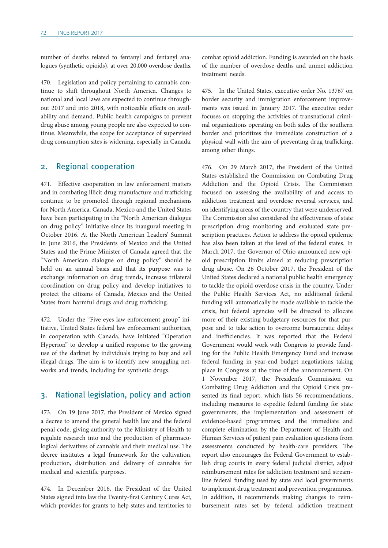number of deaths related to fentanyl and fentanyl analogues (synthetic opioids), at over 20,000 overdose deaths.

470. Legislation and policy pertaining to cannabis continue to shift throughout North America. Changes to national and local laws are expected to continue throughout 2017 and into 2018, with noticeable effects on availability and demand. Public health campaigns to prevent drug abuse among young people are also expected to continue. Meanwhile, the scope for acceptance of supervised drug consumption sites is widening, especially in Canada.

## 2. Regional cooperation

471. Effective cooperation in law enforcement matters and in combating illicit drug manufacture and trafficking continue to be promoted through regional mechanisms for North America. Canada, Mexico and the United States have been participating in the "North American dialogue on drug policy" initiative since its inaugural meeting in October 2016. At the North American Leaders' Summit in June 2016, the Presidents of Mexico and the United States and the Prime Minister of Canada agreed that the "North American dialogue on drug policy" should be held on an annual basis and that its purpose was to exchange information on drug trends, increase trilateral coordination on drug policy and develop initiatives to protect the citizens of Canada, Mexico and the United States from harmful drugs and drug trafficking.

472. Under the "Five eyes law enforcement group" initiative, United States federal law enforcement authorities, in cooperation with Canada, have initiated "Operation Hyperion" to develop a unified response to the growing use of the darknet by individuals trying to buy and sell illegal drugs. The aim is to identify new smuggling networks and trends, including for synthetic drugs.

# 3. National legislation, policy and action

473. On 19 June 2017, the President of Mexico signed a decree to amend the general health law and the federal penal code, giving authority to the Ministry of Health to regulate research into and the production of pharmacological derivatives of cannabis and their medical use. The decree institutes a legal framework for the cultivation, production, distribution and delivery of cannabis for medical and scientific purposes.

474. In December 2016, the President of the United States signed into law the Twenty-first Century Cures Act, which provides for grants to help states and territories to combat opioid addiction. Funding is awarded on the basis of the number of overdose deaths and unmet addiction treatment needs.

475. In the United States, executive order No. 13767 on border security and immigration enforcement improvements was issued in January 2017. The executive order focuses on stopping the activities of transnational criminal organizations operating on both sides of the southern border and prioritizes the immediate construction of a physical wall with the aim of preventing drug trafficking, among other things.

476. On 29 March 2017, the President of the United States established the Commission on Combating Drug Addiction and the Opioid Crisis. The Commission focused on assessing the availability of and access to addiction treatment and overdose reversal services, and on identifying areas of the country that were underserved. The Commission also considered the effectiveness of state prescription drug monitoring and evaluated state prescription practices. Action to address the opioid epidemic has also been taken at the level of the federal states. In March 2017, the Governor of Ohio announced new opioid prescription limits aimed at reducing prescription drug abuse. On 26 October 2017, the President of the United States declared a national public health emergency to tackle the opioid overdose crisis in the country. Under the Public Health Services Act, no additional federal funding will automatically be made available to tackle the crisis, but federal agencies will be directed to allocate more of their existing budgetary resources for that purpose and to take action to overcome bureaucratic delays and inefficiencies. It was reported that the Federal Government would work with Congress to provide funding for the Public Health Emergency Fund and increase federal funding in year-end budget negotiations taking place in Congress at the time of the announcement. On 1 November 2017, the President's Commission on Combating Drug Addiction and the Opioid Crisis presented its final report, which lists 56 recommendations, including measures to expedite federal funding for state governments; the implementation and assessment of evidence-based programmes; and the immediate and complete elimination by the Department of Health and Human Services of patient pain evaluation questions from assessments conducted by health-care providers. The report also encourages the Federal Government to establish drug courts in every federal judicial district, adjust reimbursement rates for addiction treatment and streamline federal funding used by state and local governments to implement drug treatment and prevention programmes. In addition, it recommends making changes to reimbursement rates set by federal addiction treatment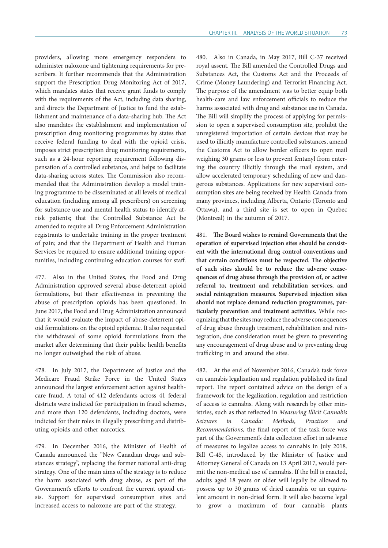providers, allowing more emergency responders to administer naloxone and tightening requirements for prescribers. It further recommends that the Administration support the Prescription Drug Monitoring Act of 2017, which mandates states that receive grant funds to comply with the requirements of the Act, including data sharing, and directs the Department of Justice to fund the establishment and maintenance of a data-sharing hub. The Act also mandates the establishment and implementation of prescription drug monitoring programmes by states that receive federal funding to deal with the opioid crisis, imposes strict prescription drug monitoring requirements, such as a 24-hour reporting requirement following dispensation of a controlled substance, and helps to facilitate data-sharing across states. The Commission also recommended that the Administration develop a model training programme to be disseminated at all levels of medical education (including among all prescribers) on screening for substance use and mental health status to identify atrisk patients; that the Controlled Substance Act be amended to require all Drug Enforcement Administration registrants to undertake training in the proper treatment of pain; and that the Department of Health and Human Services be required to ensure additional training opportunities, including continuing education courses for staff.

477. Also in the United States, the Food and Drug Administration approved several abuse-deterrent opioid formulations, but their effectiveness in preventing the abuse of prescription opioids has been questioned. In June 2017, the Food and Drug Administration announced that it would evaluate the impact of abuse-deterrent opioid formulations on the opioid epidemic. It also requested the withdrawal of some opioid formulations from the market after determining that their public health benefits no longer outweighed the risk of abuse.

478. In July 2017, the Department of Justice and the Medicare Fraud Strike Force in the United States announced the largest enforcement action against healthcare fraud. A total of 412 defendants across 41 federal districts were indicted for participation in fraud schemes, and more than 120 defendants, including doctors, were indicted for their roles in illegally prescribing and distributing opioids and other narcotics.

479. In December 2016, the Minister of Health of Canada announced the "New Canadian drugs and substances strategy", replacing the former national anti-drug strategy. One of the main aims of the strategy is to reduce the harm associated with drug abuse, as part of the Government's efforts to confront the current opioid crisis. Support for supervised consumption sites and increased access to naloxone are part of the strategy.

480. Also in Canada, in May 2017, Bill C-37 received royal assent. The Bill amended the Controlled Drugs and Substances Act, the Customs Act and the Proceeds of Crime (Money Laundering) and Terrorist Financing Act. The purpose of the amendment was to better equip both health-care and law enforcement officials to reduce the harms associated with drug and substance use in Canada. The Bill will simplify the process of applying for permission to open a supervised consumption site, prohibit the unregistered importation of certain devices that may be used to illicitly manufacture controlled substances, amend the Customs Act to allow border officers to open mail weighing 30 grams or less to prevent fentanyl from entering the country illicitly through the mail system, and allow accelerated temporary scheduling of new and dangerous substances. Applications for new supervised consumption sites are being received by Health Canada from many provinces, including Alberta, Ontario (Toronto and Ottawa), and a third site is set to open in Quebec (Montreal) in the autumn of 2017.

481. **The Board wishes to remind Governments that the operation of supervised injection sites should be consistent with the international drug control conventions and that certain conditions must be respected. The objective of such sites should be to reduce the adverse consequences of drug abuse through the provision of, or active referral to, treatment and rehabilitation services, and social reintegration measures. Supervised injection sites should not replace demand reduction programmes, particularly prevention and treatment activities.** While recognizing that the sites may reduce the adverse consequences of drug abuse through treatment, rehabilitation and reintegration, due consideration must be given to preventing any encouragement of drug abuse and to preventing drug trafficking in and around the sites.

482. At the end of November 2016, Canada's task force on cannabis legalization and regulation published its final report. The report contained advice on the design of a framework for the legalization, regulation and restriction of access to cannabis. Along with research by other ministries, such as that reflected in *Measuring Illicit Cannabis Seizures in Canada: Methods, Practices and Recommendations,* the final report of the task force was part of the Government's data collection effort in advance of measures to legalize access to cannabis in July 2018. Bill C-45, introduced by the Minister of Justice and Attorney General of Canada on 13 April 2017, would permit the non-medical use of cannabis. If the bill is enacted, adults aged 18 years or older will legally be allowed to possess up to 30 grams of dried cannabis or an equivalent amount in non-dried form. It will also become legal to grow a maximum of four cannabis plants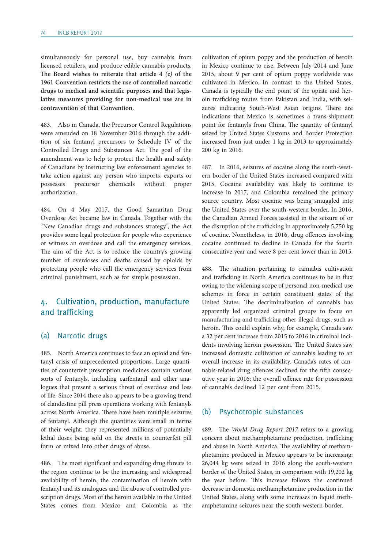simultaneously for personal use, buy cannabis from licensed retailers, and produce edible cannabis products. **The Board wishes to reiterate that article 4** *(c)* **of the 1961 Convention restricts the use of controlled narcotic drugs to medical and scientific purposes and that legislative measures providing for non-medical use are in contravention of that Convention.**

483. Also in Canada, the Precursor Control Regulations were amended on 18 November 2016 through the addition of six fentanyl precursors to Schedule IV of the Controlled Drugs and Substances Act. The goal of the amendment was to help to protect the health and safety of Canadians by instructing law enforcement agencies to take action against any person who imports, exports or possesses precursor chemicals without proper authorization.

484. On 4 May 2017, the Good Samaritan Drug Overdose Act became law in Canada. Together with the "New Canadian drugs and substances strategy", the Act provides some legal protection for people who experience or witness an overdose and call the emergency services. The aim of the Act is to reduce the country's growing number of overdoses and deaths caused by opioids by protecting people who call the emergency services from criminal punishment, such as for simple possession.

# 4. Cultivation, production, manufacture and trafficking

### (a) Narcotic drugs

485. North America continues to face an opioid and fentanyl crisis of unprecedented proportions. Large quantities of counterfeit prescription medicines contain various sorts of fentanyls, including carfentanil and other analogues that present a serious threat of overdose and loss of life. Since 2014 there also appears to be a growing trend of clandestine pill press operations working with fentanyls across North America. There have been multiple seizures of fentanyl. Although the quantities were small in terms of their weight, they represented millions of potentially lethal doses being sold on the streets in counterfeit pill form or mixed into other drugs of abuse.

486. The most significant and expanding drug threats to the region continue to be the increasing and widespread availability of heroin, the contamination of heroin with fentanyl and its analogues and the abuse of controlled prescription drugs. Most of the heroin available in the United States comes from Mexico and Colombia as the cultivation of opium poppy and the production of heroin in Mexico continue to rise. Between July 2014 and June 2015, about 9 per cent of opium poppy worldwide was cultivated in Mexico. In contrast to the United States, Canada is typically the end point of the opiate and heroin trafficking routes from Pakistan and India, with seizures indicating South-West Asian origins. There are indications that Mexico is sometimes a trans-shipment point for fentanyls from China. The quantity of fentanyl seized by United States Customs and Border Protection increased from just under 1 kg in 2013 to approximately 200 kg in 2016.

487. In 2016, seizures of cocaine along the south-western border of the United States increased compared with 2015. Cocaine availability was likely to continue to increase in 2017, and Colombia remained the primary source country. Most cocaine was being smuggled into the United States over the south-western border. In 2016, the Canadian Armed Forces assisted in the seizure of or the disruption of the trafficking in approximately 5,750 kg of cocaine. Nonetheless, in 2016, drug offences involving cocaine continued to decline in Canada for the fourth consecutive year and were 8 per cent lower than in 2015.

488. The situation pertaining to cannabis cultivation and trafficking in North America continues to be in flux owing to the widening scope of personal non-medical use schemes in force in certain constituent states of the United States. The decriminalization of cannabis has apparently led organized criminal groups to focus on manufacturing and trafficking other illegal drugs, such as heroin. This could explain why, for example, Canada saw a 32 per cent increase from 2015 to 2016 in criminal incidents involving heroin possession. The United States saw increased domestic cultivation of cannabis leading to an overall increase in its availability. Canada's rates of cannabis-related drug offences declined for the fifth consecutive year in 2016; the overall offence rate for possession of cannabis declined 12 per cent from 2015.

#### (b) Psychotropic substances

489. The *World Drug Report 2017* refers to a growing concern about methamphetamine production, trafficking and abuse in North America. The availability of methamphetamine produced in Mexico appears to be increasing: 26,044 kg were seized in 2016 along the south-western border of the United States, in comparison with 19,202 kg the year before. This increase follows the continued decrease in domestic methamphetamine production in the United States, along with some increases in liquid methamphetamine seizures near the south-western border.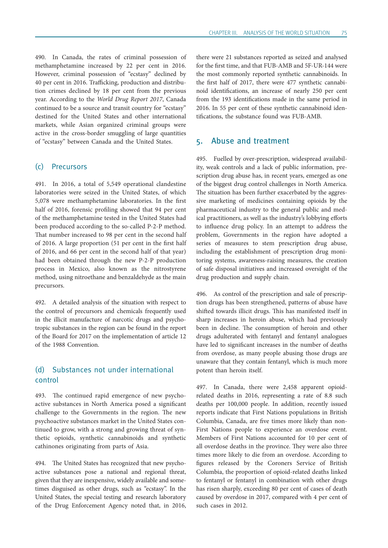490. In Canada, the rates of criminal possession of methamphetamine increased by 22 per cent in 2016. However, criminal possession of "ecstasy" declined by 40 per cent in 2016. Trafficking, production and distribution crimes declined by 18 per cent from the previous year. According to the *World Drug Report 2017*, Canada continued to be a source and transit country for "ecstasy" destined for the United States and other international markets, while Asian organized criminal groups were active in the cross-border smuggling of large quantities of "ecstasy" between Canada and the United States.

## (c) Precursors

491. In 2016, a total of 5,549 operational clandestine laboratories were seized in the United States, of which 5,078 were methamphetamine laboratories. In the first half of 2016, forensic profiling showed that 94 per cent of the methamphetamine tested in the United States had been produced according to the so-called P-2-P method. That number increased to 98 per cent in the second half of 2016. A large proportion (51 per cent in the first half of 2016, and 66 per cent in the second half of that year) had been obtained through the new P-2-P production process in Mexico, also known as the nitrostyrene method, using nitroethane and benzaldehyde as the main precursors.

492. A detailed analysis of the situation with respect to the control of precursors and chemicals frequently used in the illicit manufacture of narcotic drugs and psychotropic substances in the region can be found in the report of the Board for 2017 on the implementation of article 12 of the 1988 Convention.

# (d) Substances not under international control

493. The continued rapid emergence of new psychoactive substances in North America posed a significant challenge to the Governments in the region. The new psychoactive substances market in the United States continued to grow, with a strong and growing threat of synthetic opioids, synthetic cannabinoids and synthetic cathinones originating from parts of Asia.

494. The United States has recognized that new psychoactive substances pose a national and regional threat, given that they are inexpensive, widely available and sometimes disguised as other drugs, such as "ecstasy". In the United States, the special testing and research laboratory of the Drug Enforcement Agency noted that, in 2016, there were 21 substances reported as seized and analysed for the first time, and that FUB-AMB and 5F-UR-144 were the most commonly reported synthetic cannabinoids. In the first half of 2017, there were 477 synthetic cannabinoid identifications, an increase of nearly 250 per cent from the 193 identifications made in the same period in 2016. In 55 per cent of these synthetic cannabinoid identifications, the substance found was FUB-AMB.

## 5. Abuse and treatment

495. Fuelled by over-prescription, widespread availability, weak controls and a lack of public information, prescription drug abuse has, in recent years, emerged as one of the biggest drug control challenges in North America. The situation has been further exacerbated by the aggressive marketing of medicines containing opioids by the pharmaceutical industry to the general public and medical practitioners, as well as the industry's lobbying efforts to influence drug policy. In an attempt to address the problem, Governments in the region have adopted a series of measures to stem prescription drug abuse, including the establishment of prescription drug monitoring systems, awareness-raising measures, the creation of safe disposal initiatives and increased oversight of the drug production and supply chain.

496. As control of the prescription and sale of prescription drugs has been strengthened, patterns of abuse have shifted towards illicit drugs. This has manifested itself in sharp increases in heroin abuse, which had previously been in decline. The consumption of heroin and other drugs adulterated with fentanyl and fentanyl analogues have led to significant increases in the number of deaths from overdose, as many people abusing those drugs are unaware that they contain fentanyl, which is much more potent than heroin itself.

497. In Canada, there were 2,458 apparent opioidrelated deaths in 2016, representing a rate of 8.8 such deaths per 100,000 people. In addition, recently issued reports indicate that First Nations populations in British Columbia, Canada, are five times more likely than non-First Nations people to experience an overdose event. Members of First Nations accounted for 10 per cent of all overdose deaths in the province. They were also three times more likely to die from an overdose. According to figures released by the Coroners Service of British Columbia, the proportion of opioid-related deaths linked to fentanyl or fentanyl in combination with other drugs has risen sharply, exceeding 80 per cent of cases of death caused by overdose in 2017, compared with 4 per cent of such cases in 2012.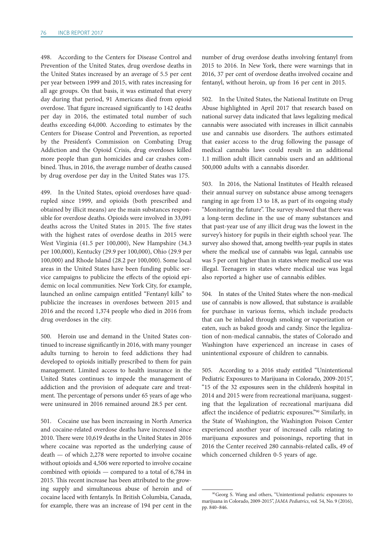498. According to the Centers for Disease Control and Prevention of the United States, drug overdose deaths in the United States increased by an average of 5.5 per cent per year between 1999 and 2015, with rates increasing for all age groups. On that basis, it was estimated that every day during that period, 91 Americans died from opioid overdose. That figure increased significantly to 142 deaths per day in 2016, the estimated total number of such deaths exceeding 64,000. According to estimates by the Centers for Disease Control and Prevention, as reported by the President's Commission on Combating Drug Addiction and the Opioid Crisis, drug overdoses killed more people than gun homicides and car crashes combined. Thus, in 2016, the average number of deaths caused by drug overdose per day in the United States was 175.

499. In the United States, opioid overdoses have quadrupled since 1999, and opioids (both prescribed and obtained by illicit means) are the main substances responsible for overdose deaths. Opioids were involved in 33,091 deaths across the United States in 2015. The five states with the highest rates of overdose deaths in 2015 were West Virginia (41.5 per 100,000), New Hampshire (34.3 per 100,000), Kentucky (29.9 per 100,000), Ohio (29.9 per 100,000) and Rhode Island (28.2 per 100,000). Some local areas in the United States have been funding public service campaigns to publicize the effects of the opioid epidemic on local communities. New York City, for example, launched an online campaign entitled "Fentanyl kills" to publicize the increases in overdoses between 2015 and 2016 and the record 1,374 people who died in 2016 from drug overdoses in the city.

500. Heroin use and demand in the United States continued to increase significantly in 2016, with many younger adults turning to heroin to feed addictions they had developed to opioids initially prescribed to them for pain management. Limited access to health insurance in the United States continues to impede the management of addiction and the provision of adequate care and treatment. The percentage of persons under 65 years of age who were uninsured in 2016 remained around 28.5 per cent.

501. Cocaine use has been increasing in North America and cocaine-related overdose deaths have increased since 2010. There were 10,619 deaths in the United States in 2016 where cocaine was reported as the underlying cause of death — of which 2,278 were reported to involve cocaine without opioids and 4,506 were reported to involve cocaine combined with opioids — compared to a total of 6,784 in 2015. This recent increase has been attributed to the growing supply and simultaneous abuse of heroin and of cocaine laced with fentanyls. In British Columbia, Canada, for example, there was an increase of 194 per cent in the

number of drug overdose deaths involving fentanyl from 2015 to 2016. In New York, there were warnings that in 2016, 37 per cent of overdose deaths involved cocaine and fentanyl, without heroin, up from 16 per cent in 2015.

502. In the United States, the National Institute on Drug Abuse highlighted in April 2017 that research based on national survey data indicated that laws legalizing medical cannabis were associated with increases in illicit cannabis use and cannabis use disorders. The authors estimated that easier access to the drug following the passage of medical cannabis laws could result in an additional 1.1 million adult illicit cannabis users and an additional 500,000 adults with a cannabis disorder.

503. In 2016, the National Institutes of Health released their annual survey on substance abuse among teenagers ranging in age from 13 to 18, as part of its ongoing study "Monitoring the future". The survey showed that there was a long-term decline in the use of many substances and that past-year use of any illicit drug was the lowest in the survey's history for pupils in their eighth school year. The survey also showed that, among twelfth-year pupils in states where the medical use of cannabis was legal, cannabis use was 5 per cent higher than in states where medical use was illegal. Teenagers in states where medical use was legal also reported a higher use of cannabis edibles.

504. In states of the United States where the non-medical use of cannabis is now allowed, that substance is available for purchase in various forms, which include products that can be inhaled through smoking or vaporization or eaten, such as baked goods and candy. Since the legalization of non-medical cannabis, the states of Colorado and Washington have experienced an increase in cases of unintentional exposure of children to cannabis.

505. According to a 2016 study entitled "Unintentional Pediatric Exposures to Marijuana in Colorado, 2009-2015", "15 of the 32 exposures seen in the children's hospital in 2014 and 2015 were from recreational marijuana, suggesting that the legalization of recreational marijuana did affect the incidence of pediatric exposures."90 Similarly, in the State of Washington, the Washington Poison Center experienced another year of increased calls relating to marijuana exposures and poisonings, reporting that in 2016 the Center received 280 cannabis-related calls, 49 of which concerned children 0-5 years of age.

<sup>90</sup>Georg S. Wang and others, "Unintentional pediatric exposures to marijuana in Colorado, 2009-2015", *JAMA Pediatrics*, vol. 54, No. 9 (2016), pp. 840–846.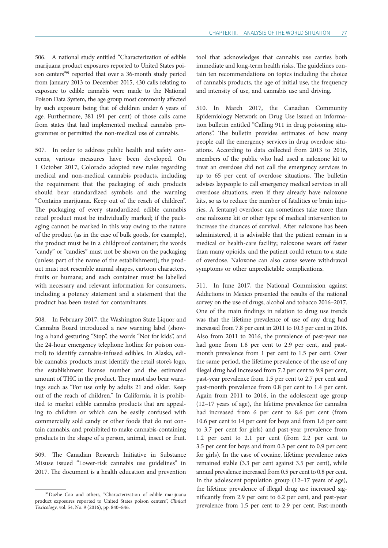506. A national study entitled "Characterization of edible marijuana product exposures reported to United States poison centers"<sup>91</sup> reported that over a 36-month study period from January 2013 to December 2015, 430 calls relating to exposure to edible cannabis were made to the National Poison Data System, the age group most commonly affected by such exposure being that of children under 6 years of age. Furthermore, 381 (91 per cent) of those calls came from states that had implemented medical cannabis programmes or permitted the non-medical use of cannabis.

507. In order to address public health and safety concerns, various measures have been developed. On 1 October 2017, Colorado adopted new rules regarding medical and non-medical cannabis products, including the requirement that the packaging of such products should bear standardized symbols and the warning "Contains marijuana. Keep out of the reach of children". The packaging of every standardized edible cannabis retail product must be individually marked; if the packaging cannot be marked in this way owing to the nature of the product (as in the case of bulk goods, for example), the product must be in a childproof container; the words "candy" or "candies" must not be shown on the packaging (unless part of the name of the establishment); the product must not resemble animal shapes, cartoon characters, fruits or humans; and each container must be labelled with necessary and relevant information for consumers, including a potency statement and a statement that the product has been tested for contaminants.

508. In February 2017, the Washington State Liquor and Cannabis Board introduced a new warning label (showing a hand gesturing "Stop", the words "Not for kids", and the 24-hour emergency telephone hotline for poison control) to identify cannabis-infused edibles. In Alaska, edible cannabis products must identify the retail store's logo, the establishment license number and the estimated amount of THC in the product. They must also bear warnings such as "For use only by adults 21 and older. Keep out of the reach of children." In California, it is prohibited to market edible cannabis products that are appealing to children or which can be easily confused with commercially sold candy or other foods that do not contain cannabis, and prohibited to make cannabis-containing products in the shape of a person, animal, insect or fruit.

509. The Canadian Research Initiative in Substance Misuse issued "Lower-risk cannabis use guidelines" in 2017. The document is a health education and prevention tool that acknowledges that cannabis use carries both immediate and long-term health risks. The guidelines contain ten recommendations on topics including the choice of cannabis products, the age of initial use, the frequency and intensity of use, and cannabis use and driving.

510. In March 2017, the Canadian Community Epidemiology Network on Drug Use issued an information bulletin entitled "Calling 911 in drug poisoning situations". The bulletin provides estimates of how many people call the emergency services in drug overdose situations. According to data collected from 2013 to 2016, members of the public who had used a naloxone kit to treat an overdose did not call the emergency services in up to 65 per cent of overdose situations. The bulletin advises laypeople to call emergency medical services in all overdose situations, even if they already have naloxone kits, so as to reduce the number of fatalities or brain injuries. A fentanyl overdose can sometimes take more than one naloxone kit or other type of medical intervention to increase the chances of survival. After naloxone has been administered, it is advisable that the patient remain in a medical or health-care facility; naloxone wears off faster than many opioids, and the patient could return to a state of overdose. Naloxone can also cause severe withdrawal symptoms or other unpredictable complications.

511. In June 2017, the National Commission against Addictions in Mexico presented the results of the national survey on the use of drugs, alcohol and tobacco 2016–2017. One of the main findings in relation to drug use trends was that the lifetime prevalence of use of any drug had increased from 7.8 per cent in 2011 to 10.3 per cent in 2016. Also from 2011 to 2016, the prevalence of past-year use had gone from 1.8 per cent to 2.9 per cent, and pastmonth prevalence from 1 per cent to 1.5 per cent. Over the same period, the lifetime prevalence of the use of any illegal drug had increased from 7.2 per cent to 9.9 per cent, past-year prevalence from 1.5 per cent to 2.7 per cent and past-month prevalence from 0.8 per cent to 1.4 per cent. Again from 2011 to 2016, in the adolescent age group (12–17 years of age), the lifetime prevalence for cannabis had increased from 6 per cent to 8.6 per cent (from 10.6 per cent to 14 per cent for boys and from 1.6 per cent to 3.7 per cent for girls) and past-year prevalence from 1.2 per cent to 2.1 per cent (from 2.2 per cent to 3.5 per cent for boys and from 0.3 per cent to 0.9 per cent for girls). In the case of cocaine, lifetime prevalence rates remained stable (3.3 per cent against 3.5 per cent), while annual prevalence increased from 0.5 per cent to 0.8 per cent. In the adolescent population group (12–17 years of age), the lifetime prevalence of illegal drug use increased significantly from 2.9 per cent to 6.2 per cent, and past-year prevalence from 1.5 per cent to 2.9 per cent. Past-month

<sup>91</sup>Dazhe Cao and others, "Characterization of edible marijuana product exposures reported to United States poison centers", *Clinical Toxicology*, vol. 54, No. 9 (2016), pp. 840–846.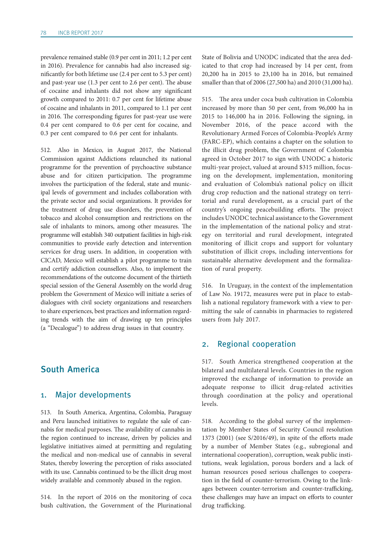prevalence remained stable (0.9 per cent in 2011; 1.2 per cent in 2016). Prevalence for cannabis had also increased significantly for both lifetime use (2.4 per cent to 5.3 per cent) and past-year use (1.3 per cent to 2.6 per cent). The abuse of cocaine and inhalants did not show any significant growth compared to 2011: 0.7 per cent for lifetime abuse of cocaine and inhalants in 2011, compared to 1.1 per cent in 2016. The corresponding figures for past-year use were 0.4 per cent compared to 0.6 per cent for cocaine, and 0.3 per cent compared to 0.6 per cent for inhalants.

512. Also in Mexico, in August 2017, the National Commission against Addictions relaunched its national programme for the prevention of psychoactive substance abuse and for citizen participation. The programme involves the participation of the federal, state and municipal levels of government and includes collaboration with the private sector and social organizations. It provides for the treatment of drug use disorders, the prevention of tobacco and alcohol consumption and restrictions on the sale of inhalants to minors, among other measures. The programme will establish 340 outpatient facilities in high-risk communities to provide early detection and intervention services for drug users. In addition, in cooperation with CICAD, Mexico will establish a pilot programme to train and certify addiction counsellors. Also, to implement the recommendations of the outcome document of the thirtieth special session of the General Assembly on the world drug problem the Government of Mexico will initiate a series of dialogues with civil society organizations and researchers to share experiences, best practices and information regarding trends with the aim of drawing up ten principles (a "Decalogue") to address drug issues in that country.

# South America

## 1. Major developments

513. In South America, Argentina, Colombia, Paraguay and Peru launched initiatives to regulate the sale of cannabis for medical purposes. The availability of cannabis in the region continued to increase, driven by policies and legislative initiatives aimed at permitting and regulating the medical and non-medical use of cannabis in several States, thereby lowering the perception of risks associated with its use. Cannabis continued to be the illicit drug most widely available and commonly abused in the region.

514. In the report of 2016 on the monitoring of coca bush cultivation, the Government of the Plurinational

State of Bolivia and UNODC indicated that the area dedicated to that crop had increased by 14 per cent, from 20,200 ha in 2015 to 23,100 ha in 2016, but remained smaller than that of 2006 (27,500 ha) and 2010 (31,000 ha).

515. The area under coca bush cultivation in Colombia increased by more than 50 per cent, from 96,000 ha in 2015 to 146,000 ha in 2016. Following the signing, in November 2016, of the peace accord with the Revolutionary Armed Forces of Colombia-People's Army (FARC-EP), which contains a chapter on the solution to the illicit drug problem, the Government of Colombia agreed in October 2017 to sign with UNODC a historic multi-year project, valued at around \$315 million, focusing on the development, implementation, monitoring and evaluation of Colombia's national policy on illicit drug crop reduction and the national strategy on territorial and rural development, as a crucial part of the country's ongoing peacebuilding efforts. The project includes UNODC technical assistance to the Government in the implementation of the national policy and strategy on territorial and rural development, integrated monitoring of illicit crops and support for voluntary substitution of illicit crops, including interventions for sustainable alternative development and the formalization of rural property.

516. In Uruguay, in the context of the implementation of Law No. 19172, measures were put in place to establish a national regulatory framework with a view to permitting the sale of cannabis in pharmacies to registered users from July 2017.

#### 2. Regional cooperation

517. South America strengthened cooperation at the bilateral and multilateral levels. Countries in the region improved the exchange of information to provide an adequate response to illicit drug-related activities through coordination at the policy and operational levels.

518. According to the global survey of the implementation by Member States of Security Council resolution 1373 (2001) (see S/2016/49), in spite of the efforts made by a number of Member States (e.g., subregional and international cooperation), corruption, weak public institutions, weak legislation, porous borders and a lack of human resources posed serious challenges to cooperation in the field of counter-terrorism. Owing to the linkages between counter-terrorism and counter-trafficking, these challenges may have an impact on efforts to counter drug trafficking.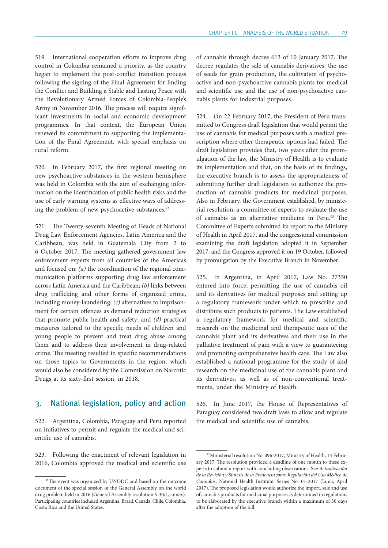519. International cooperation efforts to improve drug control in Colombia remained a priority, as the country began to implement the post-conflict transition process following the signing of the Final Agreement for Ending the Conflict and Building a Stable and Lasting Peace with the Revolutionary Armed Forces of Colombia-People's Army in November 2016. The process will require significant investments in social and economic development programmes. In that context, the European Union renewed its commitment to supporting the implementation of the Final Agreement, with special emphasis on rural reform.

520. In February 2017, the first regional meeting on new psychoactive substances in the western hemisphere was held in Colombia with the aim of exchanging information on the identification of public health risks and the use of early warning systems as effective ways of addressing the problem of new psychoactive substances.<sup>92</sup>

521. The Twenty-seventh Meeting of Heads of National Drug Law Enforcement Agencies, Latin America and the Caribbean, was held in Guatemala City from 2 to 6 October 2017. The meeting gathered government law enforcement experts from all countries of the Americas and focused on: *(a)* the coordination of the regional communication platforms supporting drug law enforcement across Latin America and the Caribbean; *(b)* links between drug trafficking and other forms of organized crime, including money-laundering; *(c)* alternatives to imprisonment for certain offences as demand reduction strategies that promote public health and safety; and *(d)* practical measures tailored to the specific needs of children and young people to prevent and treat drug abuse among them and to address their involvement in drug-related crime. The meeting resulted in specific recommendations on those topics to Governments in the region, which would also be considered by the Commission on Narcotic Drugs at its sixty-first session, in 2018.

## 3. National legislation, policy and action

522. Argentina, Colombia, Paraguay and Peru reported on initiatives to permit and regulate the medical and scientific use of cannabis.

523. Following the enactment of relevant legislation in 2016, Colombia approved the medical and scientific use of cannabis through decree 613 of 10 January 2017. The decree regulates the sale of cannabis derivatives, the use of seeds for grain production, the cultivation of psychoactive and non-psychoactive cannabis plants for medical and scientific use and the use of non-psychoactive cannabis plants for industrial purposes.

524. On 22 February 2017, the President of Peru transmitted to Congress draft legislation that would permit the use of cannabis for medical purposes with a medical prescription where other therapeutic options had failed. The draft legislation provides that, two years after the promulgation of the law, the Ministry of Health is to evaluate its implementation and that, on the basis of its findings, the executive branch is to assess the appropriateness of submitting further draft legislation to authorize the production of cannabis products for medicinal purposes. Also in February, the Government established, by ministerial resolution, a committee of experts to evaluate the use of cannabis as an alternative medicine in Peru.<sup>93</sup> The Committee of Experts submitted its report to the Ministry of Health in April 2017, and the congressional commission examining the draft legislation adopted it in September 2017, and the Congress approved it on 19 October, followed by promulgation by the Executive Branch in November.

525. In Argentina, in April 2017, Law No. 27350 entered into force, permitting the use of cannabis oil and its derivatives for medical purposes and setting up a regulatory framework under which to prescribe and distribute such products to patients. The Law established a regulatory framework for medical and scientific research on the medicinal and therapeutic uses of the cannabis plant and its derivatives and their use in the palliative treatment of pain with a view to guaranteeing and promoting comprehensive health care. The Law also established a national programme for the study of and research on the medicinal use of the cannabis plant and its derivatives, as well as of non-conventional treatments, under the Ministry of Health.

526. In June 2017, the House of Representatives of Paraguay considered two draft laws to allow and regulate the medical and scientific use of cannabis.

<sup>&</sup>lt;sup>92</sup>The event was organized by UNODC and based on the outcome document of the special session of the General Assembly on the world drug problem held in 2016 (General Assembly resolution S-30/1, annex). Participating countries included Argentina, Brazil, Canada, Chile, Colombia, Costa Rica and the United States.

<sup>93</sup> Ministerial resolution No. 096-2017, Ministry of Health, 14 February 2017. The resolution provided a deadline of one month to these experts to submit a report with concluding observations. See *Actualización de la Revisión y Síntesis de la Evidencia sobre Regulación del Uso Médico de Cannabis*, National Health Institute. Series No. 01-2017 (Lima, April 2017). The proposed legislation would authorize the import, sale and use of cannabis products for medicinal purposes as determined in regulations to be elaborated by the executive branch within a maximum of 30 days after the adoption of the bill.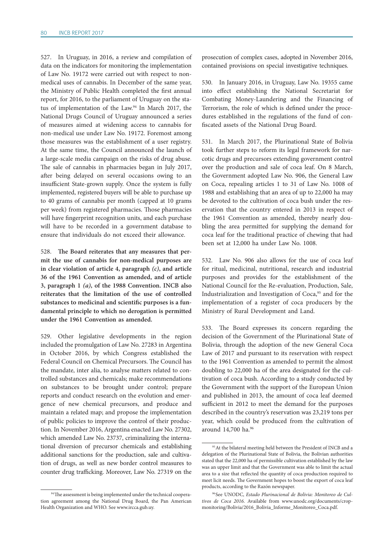527. In Uruguay, in 2016, a review and compilation of data on the indicators for monitoring the implementation of Law No. 19172 were carried out with respect to nonmedical uses of cannabis. In December of the same year, the Ministry of Public Health completed the first annual report, for 2016, to the parliament of Uruguay on the status of implementation of the Law.94 In March 2017, the National Drugs Council of Uruguay announced a series of measures aimed at widening access to cannabis for non-medical use under Law No. 19172. Foremost among those measures was the establishment of a user registry. At the same time, the Council announced the launch of a large-scale media campaign on the risks of drug abuse. The sale of cannabis in pharmacies began in July 2017, after being delayed on several occasions owing to an insufficient State-grown supply. Once the system is fully implemented, registered buyers will be able to purchase up to 40 grams of cannabis per month (capped at 10 grams per week) from registered pharmacies. Those pharmacies will have fingerprint recognition units, and each purchase will have to be recorded in a government database to ensure that individuals do not exceed their allowance.

528. **The Board reiterates that any measures that permit the use of cannabis for non-medical purposes are in clear violation of article 4, paragraph** *(c)***, and article 36 of the 1961 Convention as amended, and of article 3, paragraph 1** *(a)***, of the 1988 Convention. INCB also reiterates that the limitation of the use of controlled substances to medicinal and scientific purposes is a fundamental principle to which no derogation is permitted under the 1961 Convention as amended.**

529. Other legislative developments in the region included the promulgation of Law No. 27283 in Argentina in October 2016, by which Congress established the Federal Council on Chemical Precursors. The Council has the mandate, inter alia, to analyse matters related to controlled substances and chemicals; make recommendations on substances to be brought under control; prepare reports and conduct research on the evolution and emergence of new chemical precursors, and produce and maintain a related map; and propose the implementation of public policies to improve the control of their production. In November 2016, Argentina enacted Law No. 27302, which amended Law No. 23737, criminalizing the international diversion of precursor chemicals and establishing additional sanctions for the production, sale and cultivation of drugs, as well as new border control measures to counter drug trafficking. Moreover, Law No. 27319 on the

<sup>94</sup>The assessment is being implemented under the technical cooperation agreement among the National Drug Board, the Pan American Health Organization and WHO. See [www.ircca.gub.uy](http://www.ircca.gub.uy).

prosecution of complex cases, adopted in November 2016, contained provisions on special investigative techniques.

530. In January 2016, in Uruguay, Law No. 19355 came into effect establishing the National Secretariat for Combating Money-Laundering and the Financing of Terrorism, the role of which is defined under the procedures established in the regulations of the fund of confiscated assets of the National Drug Board.

531. In March 2017, the Plurinational State of Bolivia took further steps to reform its legal framework for narcotic drugs and precursors extending government control over the production and sale of coca leaf. On 8 March, the Government adopted Law No. 906, the General Law on Coca, repealing articles 1 to 31 of Law No. 1008 of 1988 and establishing that an area of up to 22,000 ha may be devoted to the cultivation of coca bush under the reservation that the country entered in 2013 in respect of the 1961 Convention as amended, thereby nearly doubling the area permitted for supplying the demand for coca leaf for the traditional practice of chewing that had been set at 12,000 ha under Law No. 1008.

532. Law No. 906 also allows for the use of coca leaf for ritual, medicinal, nutritional, research and industrial purposes and provides for the establishment of the National Council for the Re-evaluation, Production, Sale, Industrialization and Investigation of Coca,<sup>95</sup> and for the implementation of a register of coca producers by the Ministry of Rural Development and Land.

533. The Board expresses its concern regarding the decision of the Government of the Plurinational State of Bolivia, through the adoption of the new General Coca Law of 2017 and pursuant to its reservation with respect to the 1961 Convention as amended to permit the almost doubling to 22,000 ha of the area designated for the cultivation of coca bush. According to a study conducted by the Government with the support of the European Union and published in 2013, the amount of coca leaf deemed sufficient in 2012 to meet the demand for the purposes described in the country's reservation was 23,219 tons per year, which could be produced from the cultivation of around 14,700 ha.96

<sup>95</sup> At the bilateral meeting held between the President of INCB and a delegation of the Plurinational State of Bolivia, the Bolivian authorities stated that the 22,000 ha of permissible cultivation established by the law was an upper limit and that the Government was able to limit the actual area to a size that reflected the quantity of coca production required to meet licit needs. The Government hopes to boost the export of coca leaf products, according to the Razón newspaper.

<sup>96</sup> See UNODC, *Estado Plurinacional de Bolivia: Monitoreo de Cultivos de Coca 2016*. Available from [www.unodc.org/documents/crop](http://www.unodc.org/documents/crop-monitoring/Bolivia/2016_Bolivia_Informe_Monitoreo_Coca.pdf)[monitoring/Bolivia/2016\\_Bolivia\\_Informe\\_Monitoreo\\_Coca.pdf](http://www.unodc.org/documents/crop-monitoring/Bolivia/2016_Bolivia_Informe_Monitoreo_Coca.pdf).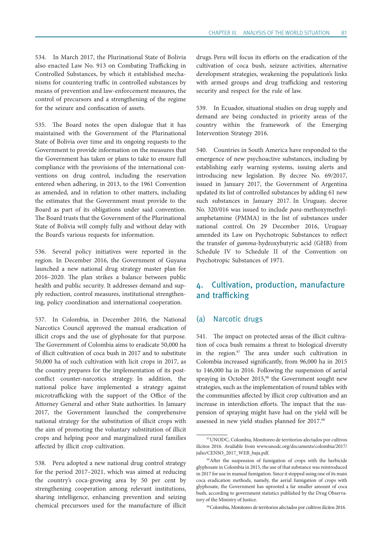534. In March 2017, the Plurinational State of Bolivia also enacted Law No. 913 on Combating Trafficking in Controlled Substances, by which it established mechanisms for countering traffic in controlled substances by means of prevention and law-enforcement measures, the control of precursors and a strengthening of the regime for the seizure and confiscation of assets.

535. The Board notes the open dialogue that it has maintained with the Government of the Plurinational State of Bolivia over time and its ongoing requests to the Government to provide information on the measures that the Government has taken or plans to take to ensure full compliance with the provisions of the international conventions on drug control, including the reservation entered when adhering, in 2013, to the 1961 Convention as amended, and in relation to other matters, including the estimates that the Government must provide to the Board as part of its obligations under said convention. The Board trusts that the Government of the Plurinational State of Bolivia will comply fully and without delay with the Board's various requests for information.

536. Several policy initiatives were reported in the region. In December 2016, the Government of Guyana launched a new national drug strategy master plan for 2016–2020. The plan strikes a balance between public health and public security. It addresses demand and supply reduction, control measures, institutional strengthening, policy coordination and international cooperation.

537. In Colombia, in December 2016, the National Narcotics Council approved the manual eradication of illicit crops and the use of glyphosate for that purpose. The Government of Colombia aims to eradicate 50,000 ha of illicit cultivation of coca bush in 2017 and to substitute 50,000 ha of such cultivation with licit crops in 2017, as the country prepares for the implementation of its postconflict counter-narcotics strategy. In addition, the national police have implemented a strategy against microtrafficking with the support of the Office of the Attorney General and other State authorities. In January 2017, the Government launched the comprehensive national strategy for the substitution of illicit crops with the aim of promoting the voluntary substitution of illicit crops and helping poor and marginalized rural families affected by illicit crop cultivation.

538. Peru adopted a new national drug control strategy for the period 2017–2021, which was aimed at reducing the country's coca-growing area by 50 per cent by strengthening cooperation among relevant institutions, sharing intelligence, enhancing prevention and seizing chemical precursors used for the manufacture of illicit

drugs. Peru will focus its efforts on the eradication of the cultivation of coca bush, seizure activities, alternative development strategies, weakening the population's links with armed groups and drug trafficking and restoring security and respect for the rule of law.

539. In Ecuador, situational studies on drug supply and demand are being conducted in priority areas of the country within the framework of the Emerging Intervention Strategy 2016.

540. Countries in South America have responded to the emergence of new psychoactive substances, including by establishing early warning systems, issuing alerts and introducing new legislation. By decree No. 69/2017, issued in January 2017, the Government of Argentina updated its list of controlled substances by adding 61 new such substances in January 2017. In Uruguay, decree No. 320/016 was issued to include *para*-methoxymethylamphetamine (PMMA) in the list of substances under national control. On 29 December 2016, Uruguay amended its Law on Psychotropic Substances to reflect the transfer of *gamma*-hydroxybutyric acid (GHB) from Schedule IV to Schedule II of the Convention on Psychotropic Substances of 1971.

# 4. Cultivation, production, manufacture and trafficking

#### (a) Narcotic drugs

541. The impact on protected areas of the illicit cultivation of coca bush remains a threat to biological diversity in the region.97 The area under such cultivation in Colombia increased significantly, from 96,000 ha in 2015 to 146,000 ha in 2016. Following the suspension of aerial spraying in October 2015,<sup>98</sup> the Government sought new strategies, such as the implementation of round tables with the communities affected by illicit crop cultivation and an increase in interdiction efforts. The impact that the suspension of spraying might have had on the yield will be assessed in new yield studies planned for 2017.99

<sup>97</sup>UNODC, Colombia, Monitoreo de territorios afectados por cultivos ilícitos 2016. Available from [www.unodc.org/documents/colombia/2017/](http://www.unodc.org/documents/colombia/2017/julio/CENSO_2017_WEB_baja.pdf) [julio/CENSO\\_2017\\_WEB\\_baja.pdf.](http://www.unodc.org/documents/colombia/2017/julio/CENSO_2017_WEB_baja.pdf)

<sup>98</sup>After the suspension of fumigation of crops with the herbicide glyphosate in Colombia in 2015, the use of that substance was reintroduced in 2017 for use in manual fumigation. Since it stopped using one of its main coca eradication methods, namely, the aerial fumigation of crops with glyphosate, the Government has uprooted a far smaller amount of coca bush, according to government statistics published by the Drug Observatory of the Ministry of Justice.

<sup>99</sup>Colombia, Monitoreo de territorios afectados por cultivos ilícitos 2016.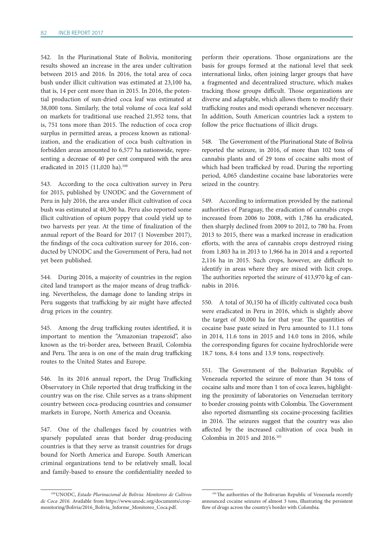542. In the Plurinational State of Bolivia, monitoring results showed an increase in the area under cultivation between 2015 and 2016. In 2016, the total area of coca bush under illicit cultivation was estimated at 23,100 ha, that is, 14 per cent more than in 2015. In 2016, the potential production of sun-dried coca leaf was estimated at 38,000 tons. Similarly, the total volume of coca leaf sold on markets for traditional use reached 21,952 tons, that is, 751 tons more than 2015. The reduction of coca crop surplus in permitted areas, a process known as rationalization, and the eradication of coca bush cultivation in forbidden areas amounted to 6,577 ha nationwide, representing a decrease of 40 per cent compared with the area eradicated in 2015 (11,020 ha).<sup>100</sup>

543. According to the coca cultivation survey in Peru for 2015, published by UNODC and the Government of Peru in July 2016, the area under illicit cultivation of coca bush was estimated at 40,300 ha. Peru also reported some illicit cultivation of opium poppy that could yield up to two harvests per year. At the time of finalization of the annual report of the Board for 2017 (1 November 2017), the findings of the coca cultivation survey for 2016, conducted by UNODC and the Government of Peru, had not yet been published.

544. During 2016, a majority of countries in the region cited land transport as the major means of drug trafficking. Nevertheless, the damage done to landing strips in Peru suggests that trafficking by air might have affected drug prices in the country.

545. Among the drug trafficking routes identified, it is important to mention the "Amazonian trapezoid", also known as the tri-border area, between Brazil, Colombia and Peru. The area is on one of the main drug trafficking routes to the United States and Europe.

546. In its 2016 annual report, the Drug Trafficking Observatory in Chile reported that drug trafficking in the country was on the rise. Chile serves as a trans-shipment country between coca-producing countries and consumer markets in Europe, North America and Oceania.

547. One of the challenges faced by countries with sparsely populated areas that border drug-producing countries is that they serve as transit countries for drugs bound for North America and Europe. South American criminal organizations tend to be relatively small, local and family-based to ensure the confidentiality needed to

perform their operations. Those organizations are the basis for groups formed at the national level that seek international links, often joining larger groups that have a fragmented and decentralized structure, which makes tracking those groups difficult. Those organizations are diverse and adaptable, which allows them to modify their trafficking routes and modi operandi whenever necessary. In addition, South American countries lack a system to follow the price fluctuations of illicit drugs.

548. The Government of the Plurinational State of Bolivia reported the seizure, in 2016, of more than 102 tons of cannabis plants and of 29 tons of cocaine salts most of which had been trafficked by road. During the reporting period, 4,065 clandestine cocaine base laboratories were seized in the country.

549. According to information provided by the national authorities of Paraguay, the eradication of cannabis crops increased from 2006 to 2008, with 1,786 ha eradicated, then sharply declined from 2009 to 2012, to 780 ha. From 2013 to 2015, there was a marked increase in eradication efforts, with the area of cannabis crops destroyed rising from 1,803 ha in 2013 to 1,966 ha in 2014 and a reported 2,116 ha in 2015. Such crops, however, are difficult to identify in areas where they are mixed with licit crops. The authorities reported the seizure of 413,970 kg of cannabis in 2016.

550. A total of 30,150 ha of illicitly cultivated coca bush were eradicated in Peru in 2016, which is slightly above the target of 30,000 ha for that year. The quantities of cocaine base paste seized in Peru amounted to 11.1 tons in 2014, 11.6 tons in 2015 and 14.0 tons in 2016, while the corresponding figures for cocaine hydrochloride were 18.7 tons, 8.4 tons and 13.9 tons, respectively.

551. The Government of the Bolivarian Republic of Venezuela reported the seizure of more than 34 tons of cocaine salts and more than 1 ton of coca leaves, highlighting the proximity of laboratories on Venezuelan territory to border crossing points with Colombia. The Government also reported dismantling six cocaine-processing facilities in 2016. The seizures suggest that the country was also affected by the increased cultivation of coca bush in Colombia in 2015 and 2016.101

<sup>100</sup>UNODC, *Estado Plurinacional de Bolivia: Monitoreo de Cultivos de Coca 2016*. Available from [https://www.unodc.org/documents/crop](https://www.unodc.org/documents/crop-monitoring/Bolivia/2016_Bolivia_Informe_Monitoreo_)[monitoring/Bolivia/2016\\_Bolivia\\_Informe\\_Monitoreo\\_Coca.pdf.](https://www.unodc.org/documents/crop-monitoring/Bolivia/2016_Bolivia_Informe_Monitoreo_)

<sup>&</sup>lt;sup>101</sup>The authorities of the Bolivarian Republic of Venezuela recently announced cocaine seizures of almost 3 tons, illustrating the persistent flow of drugs across the country's border with Colombia.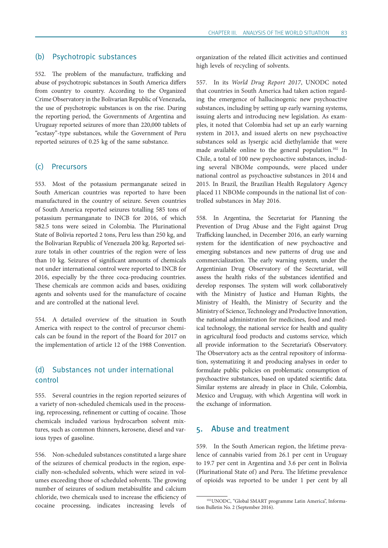#### (b) Psychotropic substances

552. The problem of the manufacture, trafficking and abuse of psychotropic substances in South America differs from country to country. According to the Organized Crime Observatory in the Bolivarian Republic of Venezuela, the use of psychotropic substances is on the rise. During the reporting period, the Governments of Argentina and Uruguay reported seizures of more than 220,000 tablets of "ecstasy"-type substances, while the Government of Peru reported seizures of 0.25 kg of the same substance.

### (c) Precursors

553. Most of the potassium permanganate seized in South American countries was reported to have been manufactured in the country of seizure. Seven countries of South America reported seizures totalling 585 tons of potassium permanganate to INCB for 2016, of which 582.5 tons were seized in Colombia. The Plurinational State of Bolivia reported 2 tons, Peru less than 250 kg, and the Bolivarian Republic of Venezuela 200 kg. Reported seizure totals in other countries of the region were of less than 10 kg. Seizures of significant amounts of chemicals not under international control were reported to INCB for 2016, especially by the three coca-producing countries. These chemicals are common acids and bases, oxidizing agents and solvents used for the manufacture of cocaine and are controlled at the national level.

554. A detailed overview of the situation in South America with respect to the control of precursor chemicals can be found in the report of the Board for 2017 on the implementation of article 12 of the 1988 Convention.

# (d) Substances not under international control

555. Several countries in the region reported seizures of a variety of non-scheduled chemicals used in the processing, reprocessing, refinement or cutting of cocaine. Those chemicals included various hydrocarbon solvent mixtures, such as common thinners, kerosene, diesel and various types of gasoline.

556. Non-scheduled substances constituted a large share of the seizures of chemical products in the region, especially non-scheduled solvents, which were seized in volumes exceeding those of scheduled solvents. The growing number of seizures of sodium metabisulfite and calcium chloride, two chemicals used to increase the efficiency of cocaine processing, indicates increasing levels of

organization of the related illicit activities and continued high levels of recycling of solvents.

557. In its *World Drug Report 2017*, UNODC noted that countries in South America had taken action regarding the emergence of hallucinogenic new psychoactive substances, including by setting up early warning systems, issuing alerts and introducing new legislation. As examples, it noted that Colombia had set up an early warning system in 2013, and issued alerts on new psychoactive substances sold as lysergic acid diethylamide that were made available online to the general population.<sup>102</sup> In Chile, a total of 100 new psychoactive substances, including several NBOMe compounds, were placed under national control as psychoactive substances in 2014 and 2015. In Brazil, the Brazilian Health Regulatory Agency placed 11 NBOMe compounds in the national list of controlled substances in May 2016.

558. In Argentina, the Secretariat for Planning the Prevention of Drug Abuse and the Fight against Drug Trafficking launched, in December 2016, an early warning system for the identification of new psychoactive and emerging substances and new patterns of drug use and commercialization. The early warning system, under the Argentinian Drug Observatory of the Secretariat, will assess the health risks of the substances identified and develop responses. The system will work collaboratively with the Ministry of Justice and Human Rights, the Ministry of Health, the Ministry of Security and the Ministry of Science, Technology and Productive Innovation, the national administration for medicines, food and medical technology, the national service for health and quality in agricultural food products and customs service, which all provide information to the Secretariat's Observatory. The Observatory acts as the central repository of information, systematizing it and producing analyses in order to formulate public policies on problematic consumption of psychoactive substances, based on updated scientific data. Similar systems are already in place in Chile, Colombia, Mexico and Uruguay, with which Argentina will work in the exchange of information.

# 5. Abuse and treatment

559. In the South American region, the lifetime prevalence of cannabis varied from 26.1 per cent in Uruguay to 19.7 per cent in Argentina and 3.6 per cent in Bolivia (Plurinational State of) and Peru. The lifetime prevalence of opioids was reported to be under 1 per cent by all

<sup>102</sup>UNODC, "Global SMART programme Latin America", Information Bulletin No. 2 (September 2016).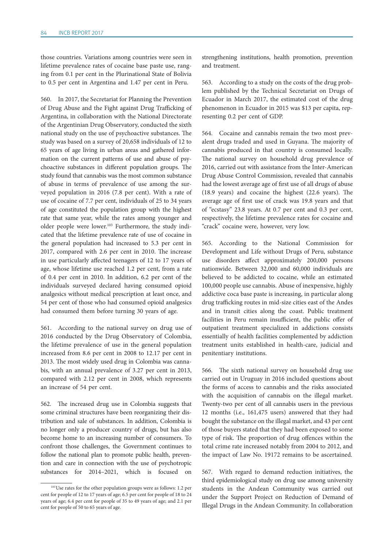those countries. Variations among countries were seen in lifetime prevalence rates of cocaine base paste use, ranging from 0.1 per cent in the Plurinational State of Bolivia to 0.5 per cent in Argentina and 1.47 per cent in Peru.

560. In 2017, the Secretariat for Planning the Prevention of Drug Abuse and the Fight against Drug Trafficking of Argentina, in collaboration with the National Directorate of the Argentinian Drug Observatory, conducted the sixth national study on the use of psychoactive substances. The study was based on a survey of 20,658 individuals of 12 to 65 years of age living in urban areas and gathered information on the current patterns of use and abuse of psychoactive substances in different population groups. The study found that cannabis was the most common substance of abuse in terms of prevalence of use among the surveyed population in 2016 (7.8 per cent). With a rate of use of cocaine of 7.7 per cent, individuals of 25 to 34 years of age constituted the population group with the highest rate that same year, while the rates among younger and older people were lower.103 Furthermore, the study indicated that the lifetime prevalence rate of use of cocaine in the general population had increased to 5.3 per cent in 2017, compared with 2.6 per cent in 2010. The increase in use particularly affected teenagers of 12 to 17 years of age, whose lifetime use reached 1.2 per cent, from a rate of 0.4 per cent in 2010. In addition, 6.2 per cent of the individuals surveyed declared having consumed opioid analgesics without medical prescription at least once, and 54 per cent of those who had consumed opioid analgesics had consumed them before turning 30 years of age.

561. According to the national survey on drug use of 2016 conducted by the Drug Observatory of Colombia, the lifetime prevalence of use in the general population increased from 8.6 per cent in 2008 to 12.17 per cent in 2013. The most widely used drug in Colombia was cannabis, with an annual prevalence of 3.27 per cent in 2013, compared with 2.12 per cent in 2008, which represents an increase of 54 per cent.

562. The increased drug use in Colombia suggests that some criminal structures have been reorganizing their distribution and sale of substances. In addition, Colombia is no longer only a producer country of drugs, but has also become home to an increasing number of consumers. To confront those challenges, the Government continues to follow the national plan to promote public health, prevention and care in connection with the use of psychotropic substances for 2014–2021, which is focused on

strengthening institutions, health promotion, prevention and treatment.

563. According to a study on the costs of the drug problem published by the Technical Secretariat on Drugs of Ecuador in March 2017, the estimated cost of the drug phenomenon in Ecuador in 2015 was \$13 per capita, representing 0.2 per cent of GDP.

564. Cocaine and cannabis remain the two most prevalent drugs traded and used in Guyana. The majority of cannabis produced in that country is consumed locally. The national survey on household drug prevalence of 2016, carried out with assistance from the Inter-American Drug Abuse Control Commission, revealed that cannabis had the lowest average age of first use of all drugs of abuse (18.9 years) and cocaine the highest (22.6 years). The average age of first use of crack was 19.8 years and that of "ecstasy" 23.8 years. At 0.7 per cent and 0.3 per cent, respectively, the lifetime prevalence rates for cocaine and "crack" cocaine were, however, very low.

565. According to the National Commission for Development and Life without Drugs of Peru, substance use disorders affect approximately 200,000 persons nationwide. Between 32,000 and 60,000 individuals are believed to be addicted to cocaine, while an estimated 100,000 people use cannabis. Abuse of inexpensive, highly addictive coca base paste is increasing, in particular along drug trafficking routes in mid-size cities east of the Andes and in transit cities along the coast. Public treatment facilities in Peru remain insufficient, the public offer of outpatient treatment specialized in addictions consists essentially of health facilities complemented by addiction treatment units established in health-care, judicial and penitentiary institutions.

566. The sixth national survey on household drug use carried out in Uruguay in 2016 included questions about the forms of access to cannabis and the risks associated with the acquisition of cannabis on the illegal market. Twenty-two per cent of all cannabis users in the previous 12 months (i.e., 161,475 users) answered that they had bought the substance on the illegal market, and 43 per cent of those buyers stated that they had been exposed to some type of risk. The proportion of drug offences within the total crime rate increased notably from 2004 to 2012, and the impact of Law No. 19172 remains to be ascertained.

567. With regard to demand reduction initiatives, the third epidemiological study on drug use among university students in the Andean Community was carried out under the Support Project on Reduction of Demand of Illegal Drugs in the Andean Community. In collaboration

<sup>&</sup>lt;sup>103</sup>Use rates for the other population groups were as follows: 1.2 per cent for people of 12 to 17 years of age; 6.5 per cent for people of 18 to 24 years of age; 6.4 per cent for people of 35 to 49 years of age; and 2.1 per cent for people of 50 to 65 years of age.